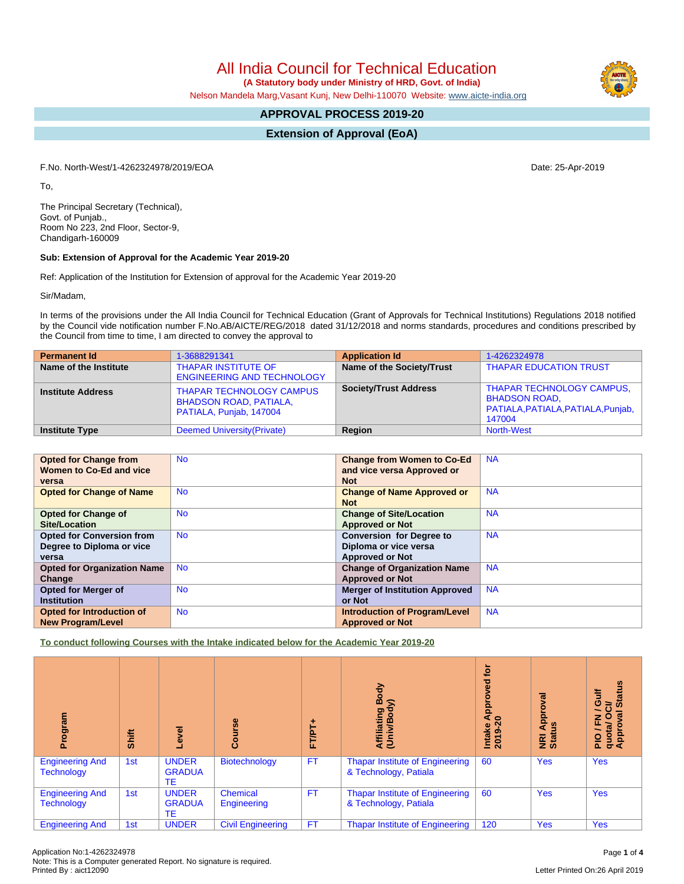All India Council for Technical Education

 **(A Statutory body under Ministry of HRD, Govt. of India)**

Nelson Mandela Marg,Vasant Kunj, New Delhi-110070 Website: [www.aicte-india.org](http://www.aicte-india.org)

# **APPROVAL PROCESS 2019-20**

**Extension of Approval (EoA)**

F.No. North-West/1-4262324978/2019/EOA Date: 25-Apr-2019

To,

The Principal Secretary (Technical), Govt. of Punjab., Room No 223, 2nd Floor, Sector-9, Chandigarh-160009

## **Sub: Extension of Approval for the Academic Year 2019-20**

Ref: Application of the Institution for Extension of approval for the Academic Year 2019-20

Sir/Madam,

In terms of the provisions under the All India Council for Technical Education (Grant of Approvals for Technical Institutions) Regulations 2018 notified by the Council vide notification number F.No.AB/AICTE/REG/2018 dated 31/12/2018 and norms standards, procedures and conditions prescribed by the Council from time to time, I am directed to convey the approval to

| <b>Permanent Id</b>      | 1-3688291341                                                                                | <b>Application Id</b>        | 1-4262324978                                                                                             |
|--------------------------|---------------------------------------------------------------------------------------------|------------------------------|----------------------------------------------------------------------------------------------------------|
| Name of the Institute    | <b>THAPAR INSTITUTE OF</b><br><b>ENGINEERING AND TECHNOLOGY</b>                             | Name of the Society/Trust    | <b>THAPAR EDUCATION TRUST</b>                                                                            |
| <b>Institute Address</b> | <b>THAPAR TECHNOLOGY CAMPUS</b><br><b>BHADSON ROAD, PATIALA,</b><br>PATIALA, Punjab, 147004 | <b>Society/Trust Address</b> | <b>THAPAR TECHNOLOGY CAMPUS.</b><br><b>BHADSON ROAD,</b><br>PATIALA, PATIALA, PATIALA, Punjab,<br>147004 |
| <b>Institute Type</b>    | <b>Deemed University (Private)</b>                                                          | Region                       | <b>North-West</b>                                                                                        |

| <b>Opted for Change from</b>       | <b>No</b> | <b>Change from Women to Co-Ed</b>     | <b>NA</b> |
|------------------------------------|-----------|---------------------------------------|-----------|
| Women to Co-Ed and vice            |           | and vice versa Approved or            |           |
| versa                              |           | <b>Not</b>                            |           |
| <b>Opted for Change of Name</b>    | <b>No</b> | <b>Change of Name Approved or</b>     | <b>NA</b> |
|                                    |           | <b>Not</b>                            |           |
| <b>Opted for Change of</b>         | <b>No</b> | <b>Change of Site/Location</b>        | <b>NA</b> |
| Site/Location                      |           | <b>Approved or Not</b>                |           |
| <b>Opted for Conversion from</b>   | <b>No</b> | <b>Conversion for Degree to</b>       | <b>NA</b> |
| Degree to Diploma or vice          |           | Diploma or vice versa                 |           |
| versa                              |           | <b>Approved or Not</b>                |           |
| <b>Opted for Organization Name</b> | <b>No</b> | <b>Change of Organization Name</b>    | <b>NA</b> |
| Change                             |           | <b>Approved or Not</b>                |           |
| <b>Opted for Merger of</b>         | <b>No</b> | <b>Merger of Institution Approved</b> | <b>NA</b> |
| <b>Institution</b>                 |           | or Not                                |           |
| Opted for Introduction of          | <b>No</b> | <b>Introduction of Program/Level</b>  | <b>NA</b> |
| <b>New Program/Level</b>           |           | <b>Approved or Not</b>                |           |

**To conduct following Courses with the Intake indicated below for the Academic Year 2019-20**

| Program                                     | Shift | Level                               | Course                   | FT/PT+    | Body<br>⋦<br>Affiliating<br>(Univ/Body                          | Įō<br>yed<br>ö<br>Appr<br>$\bullet$<br>2019-2<br><b>Intake</b> | ζā<br>Approv<br>Ξ<br><b>NE</b><br>Stat | <b>Status</b><br>ā<br>້៰<br>g<br>$\circ$<br>z<br>J / Fl<br>quota/<br>Approv |
|---------------------------------------------|-------|-------------------------------------|--------------------------|-----------|-----------------------------------------------------------------|----------------------------------------------------------------|----------------------------------------|-----------------------------------------------------------------------------|
| <b>Engineering And</b><br><b>Technology</b> | 1st   | <b>UNDER</b><br><b>GRADUA</b><br>TE | <b>Biotechnology</b>     | <b>FT</b> | <b>Thapar Institute of Engineering</b><br>& Technology, Patiala | 60                                                             | <b>Yes</b>                             | <b>Yes</b>                                                                  |
| <b>Engineering And</b><br><b>Technology</b> | 1st   | <b>UNDER</b><br><b>GRADUA</b><br>TE | Chemical<br>Engineering  | <b>FT</b> | <b>Thapar Institute of Engineering</b><br>& Technology, Patiala | 60                                                             | <b>Yes</b>                             | <b>Yes</b>                                                                  |
| <b>Engineering And</b>                      | 1st   | <b>UNDER</b>                        | <b>Civil Engineering</b> | <b>FT</b> | <b>Thapar Institute of Engineering</b>                          | 120                                                            | <b>Yes</b>                             | <b>Yes</b>                                                                  |

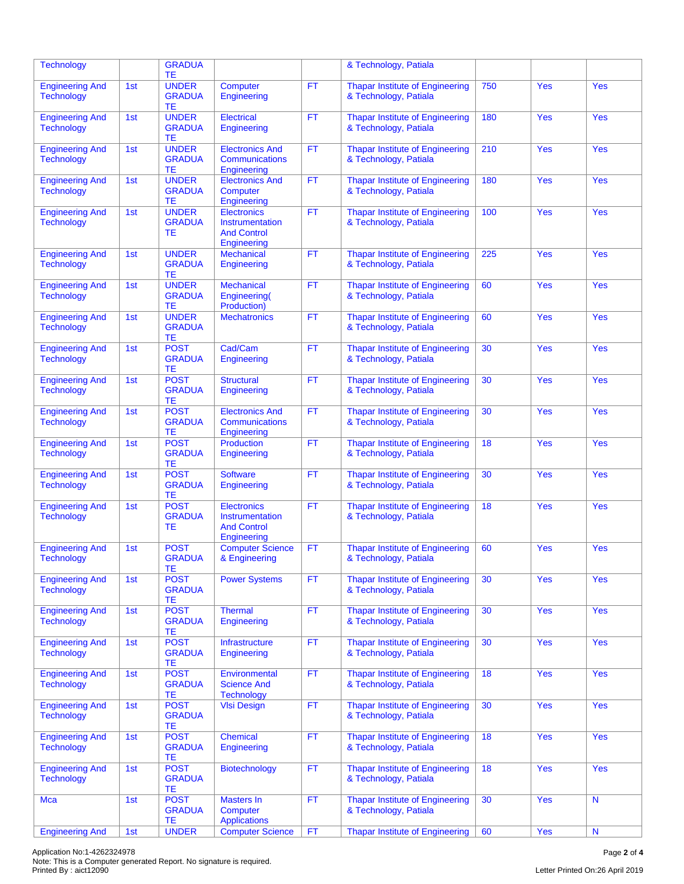| <b>Technology</b>                           |     | <b>GRADUA</b><br>TE                        |                                                                                   |           | & Technology, Patiala                                           |     |            |                         |
|---------------------------------------------|-----|--------------------------------------------|-----------------------------------------------------------------------------------|-----------|-----------------------------------------------------------------|-----|------------|-------------------------|
| <b>Engineering And</b><br><b>Technology</b> | 1st | <b>UNDER</b><br><b>GRADUA</b><br>ТE        | Computer<br>Engineering                                                           | <b>FT</b> | <b>Thapar Institute of Engineering</b><br>& Technology, Patiala | 750 | Yes        | Yes                     |
| <b>Engineering And</b><br><b>Technology</b> | 1st | <b>UNDER</b><br><b>GRADUA</b><br>ТE        | Electrical<br>Engineering                                                         | <b>FT</b> | <b>Thapar Institute of Engineering</b><br>& Technology, Patiala | 180 | Yes        | Yes                     |
| <b>Engineering And</b><br><b>Technology</b> | 1st | <b>UNDER</b><br><b>GRADUA</b><br>ТE        | <b>Electronics And</b><br><b>Communications</b><br><b>Engineering</b>             | <b>FT</b> | <b>Thapar Institute of Engineering</b><br>& Technology, Patiala | 210 | Yes        | Yes                     |
| <b>Engineering And</b><br><b>Technology</b> | 1st | <b>UNDER</b><br><b>GRADUA</b><br><b>TE</b> | <b>Electronics And</b><br>Computer<br>Engineering                                 | <b>FT</b> | <b>Thapar Institute of Engineering</b><br>& Technology, Patiala | 180 | <b>Yes</b> | Yes                     |
| <b>Engineering And</b><br><b>Technology</b> | 1st | <b>UNDER</b><br><b>GRADUA</b><br>ТE        | <b>Electronics</b><br>Instrumentation<br><b>And Control</b><br>Engineering        | <b>FT</b> | <b>Thapar Institute of Engineering</b><br>& Technology, Patiala | 100 | Yes        | Yes                     |
| <b>Engineering And</b><br><b>Technology</b> | 1st | <b>UNDER</b><br><b>GRADUA</b><br>TE        | <b>Mechanical</b><br>Engineering                                                  | <b>FT</b> | <b>Thapar Institute of Engineering</b><br>& Technology, Patiala | 225 | <b>Yes</b> | Yes                     |
| <b>Engineering And</b><br><b>Technology</b> | 1st | <b>UNDER</b><br><b>GRADUA</b><br><b>TE</b> | Mechanical<br>Engineering(<br><b>Production</b> )                                 | <b>FT</b> | <b>Thapar Institute of Engineering</b><br>& Technology, Patiala | 60  | Yes        | Yes                     |
| <b>Engineering And</b><br><b>Technology</b> | 1st | <b>UNDER</b><br><b>GRADUA</b><br>ТE        | <b>Mechatronics</b>                                                               | <b>FT</b> | <b>Thapar Institute of Engineering</b><br>& Technology, Patiala | 60  | Yes        | Yes                     |
| <b>Engineering And</b><br><b>Technology</b> | 1st | <b>POST</b><br><b>GRADUA</b><br>ТE         | Cad/Cam<br>Engineering                                                            | <b>FT</b> | <b>Thapar Institute of Engineering</b><br>& Technology, Patiala | 30  | Yes        | Yes                     |
| <b>Engineering And</b><br><b>Technology</b> | 1st | <b>POST</b><br><b>GRADUA</b><br>ТE         | <b>Structural</b><br>Engineering                                                  | <b>FT</b> | <b>Thapar Institute of Engineering</b><br>& Technology, Patiala | 30  | Yes        | Yes                     |
| <b>Engineering And</b><br><b>Technology</b> | 1st | <b>POST</b><br><b>GRADUA</b><br><b>TE</b>  | <b>Electronics And</b><br><b>Communications</b><br>Engineering                    | <b>FT</b> | <b>Thapar Institute of Engineering</b><br>& Technology, Patiala | 30  | <b>Yes</b> | Yes                     |
| <b>Engineering And</b><br><b>Technology</b> | 1st | <b>POST</b><br><b>GRADUA</b><br>ТE         | <b>Production</b><br>Engineering                                                  | <b>FT</b> | <b>Thapar Institute of Engineering</b><br>& Technology, Patiala | 18  | <b>Yes</b> | Yes                     |
| <b>Engineering And</b><br><b>Technology</b> | 1st | <b>POST</b><br><b>GRADUA</b><br>ТE         | <b>Software</b><br>Engineering                                                    | FT        | <b>Thapar Institute of Engineering</b><br>& Technology, Patiala | 30  | <b>Yes</b> | Yes                     |
| <b>Engineering And</b><br><b>Technology</b> | 1st | <b>POST</b><br><b>GRADUA</b><br>ТE         | <b>Electronics</b><br>Instrumentation<br><b>And Control</b><br><b>Engineering</b> | <b>FT</b> | <b>Thapar Institute of Engineering</b><br>& Technology, Patiala | 18  | Yes        | Yes                     |
| <b>Engineering And</b><br><b>Technology</b> | 1st | <b>POST</b><br><b>GRADUA</b><br>TE         | <b>Computer Science</b><br>& Engineering                                          | <b>FT</b> | <b>Thapar Institute of Engineering</b><br>& Technology, Patiala | 60  | Yes        | Yes                     |
| <b>Engineering And</b><br><b>Technology</b> | 1st | <b>POST</b><br><b>GRADUA</b><br>TE.        | <b>Power Systems</b>                                                              | <b>FT</b> | <b>Thapar Institute of Engineering</b><br>& Technology, Patiala | 30  | <b>Yes</b> | Yes                     |
| <b>Engineering And</b><br><b>Technology</b> | 1st | <b>POST</b><br><b>GRADUA</b><br>ТE         | <b>Thermal</b><br>Engineering                                                     | <b>FT</b> | <b>Thapar Institute of Engineering</b><br>& Technology, Patiala | 30  | <b>Yes</b> | Yes                     |
| <b>Engineering And</b><br><b>Technology</b> | 1st | <b>POST</b><br><b>GRADUA</b><br><b>TE</b>  | Infrastructure<br>Engineering                                                     | <b>FT</b> | <b>Thapar Institute of Engineering</b><br>& Technology, Patiala | 30  | <b>Yes</b> | <b>Yes</b>              |
| <b>Engineering And</b><br><b>Technology</b> | 1st | <b>POST</b><br><b>GRADUA</b><br><b>TE</b>  | Environmental<br><b>Science And</b><br><b>Technology</b>                          | <b>FT</b> | <b>Thapar Institute of Engineering</b><br>& Technology, Patiala | 18  | <b>Yes</b> | <b>Yes</b>              |
| <b>Engineering And</b><br><b>Technology</b> | 1st | <b>POST</b><br><b>GRADUA</b><br>ТE         | <b>VIsi Design</b>                                                                | <b>FT</b> | <b>Thapar Institute of Engineering</b><br>& Technology, Patiala | 30  | Yes        | <b>Yes</b>              |
| <b>Engineering And</b><br><b>Technology</b> | 1st | <b>POST</b><br><b>GRADUA</b><br>TE         | Chemical<br>Engineering                                                           | <b>FT</b> | <b>Thapar Institute of Engineering</b><br>& Technology, Patiala | 18  | <b>Yes</b> | <b>Yes</b>              |
| <b>Engineering And</b><br><b>Technology</b> | 1st | <b>POST</b><br><b>GRADUA</b><br>TE         | <b>Biotechnology</b>                                                              | <b>FT</b> | <b>Thapar Institute of Engineering</b><br>& Technology, Patiala | 18  | Yes        | Yes                     |
| Mca                                         | 1st | <b>POST</b><br><b>GRADUA</b><br>TE         | <b>Masters In</b><br>Computer<br><b>Applications</b>                              | <b>FT</b> | <b>Thapar Institute of Engineering</b><br>& Technology, Patiala | 30  | <b>Yes</b> | N.                      |
| <b>Engineering And</b>                      | 1st | <b>UNDER</b>                               | <b>Computer Science</b>                                                           | FT        | <b>Thapar Institute of Engineering</b>                          | 60  | Yes        | $\overline{\mathsf{N}}$ |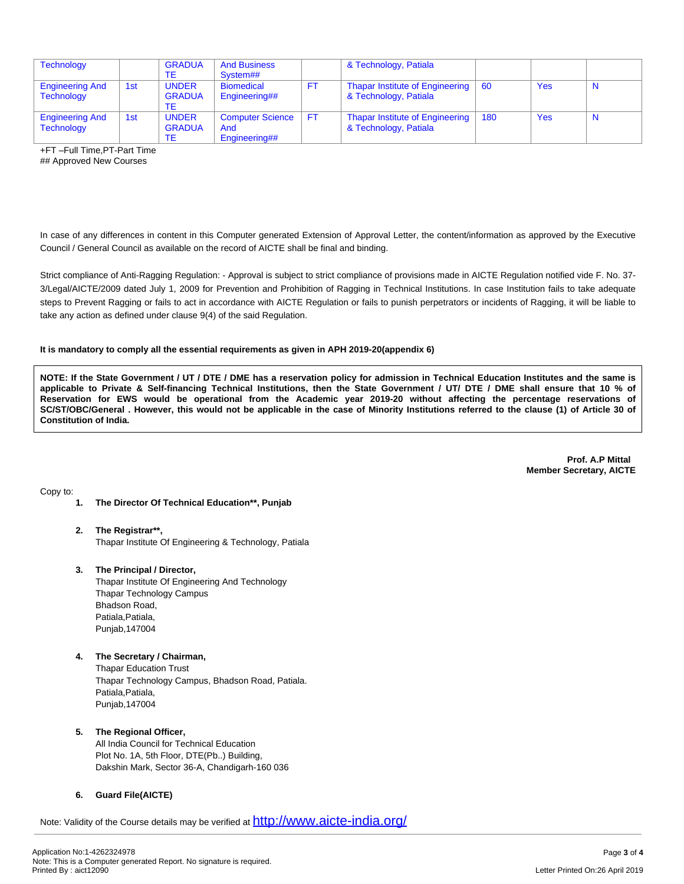| <b>Technology</b>                           |     | <b>GRADUA</b><br>TE                        | <b>And Business</b><br>System##                 |     | & Technology, Patiala                                           |     |     |  |
|---------------------------------------------|-----|--------------------------------------------|-------------------------------------------------|-----|-----------------------------------------------------------------|-----|-----|--|
| <b>Engineering And</b><br><b>Technology</b> | 1st | <b>UNDER</b><br><b>GRADUA</b><br>TE        | <b>Biomedical</b><br>Engineering##              | FT. | <b>Thapar Institute of Engineering</b><br>& Technology, Patiala | -60 | Yes |  |
| <b>Engineering And</b><br><b>Technology</b> | 1st | <b>UNDER</b><br><b>GRADUA</b><br><b>TE</b> | <b>Computer Science</b><br>And<br>Engineering## | -FT | <b>Thapar Institute of Engineering</b><br>& Technology, Patiala | 180 | Yes |  |

+FT –Full Time,PT-Part Time

## Approved New Courses

In case of any differences in content in this Computer generated Extension of Approval Letter, the content/information as approved by the Executive Council / General Council as available on the record of AICTE shall be final and binding.

Strict compliance of Anti-Ragging Regulation: - Approval is subject to strict compliance of provisions made in AICTE Regulation notified vide F. No. 37- 3/Legal/AICTE/2009 dated July 1, 2009 for Prevention and Prohibition of Ragging in Technical Institutions. In case Institution fails to take adequate steps to Prevent Ragging or fails to act in accordance with AICTE Regulation or fails to punish perpetrators or incidents of Ragging, it will be liable to take any action as defined under clause 9(4) of the said Regulation.

### **It is mandatory to comply all the essential requirements as given in APH 2019-20(appendix 6)**

NOTE: If the State Government / UT / DTE / DME has a reservation policy for admission in Technical Education Institutes and the same is applicable to Private & Self-financing Technical Institutions, then the State Government / UT/ DTE / DME shall ensure that 10 % of Reservation for EWS would be operational from the Academic year 2019-20 without affecting the percentage reservations of SC/ST/OBC/General . However, this would not be applicable in the case of Minority Institutions referred to the clause (1) of Article 30 of **Constitution of India.**

> **Prof. A.P Mittal Member Secretary, AICTE**

Copy to:

- **1. The Director Of Technical Education\*\*, Punjab**
- **2. The Registrar\*\*,** Thapar Institute Of Engineering & Technology, Patiala
- **3. The Principal / Director,** Thapar Institute Of Engineering And Technology Thapar Technology Campus Bhadson Road, Patiala, Patiala, Punjab,147004
- **4. The Secretary / Chairman,**

Thapar Education Trust Thapar Technology Campus, Bhadson Road, Patiala. Patiala, Patiala, Punjab,147004

### **5. The Regional Officer,**

All India Council for Technical Education Plot No. 1A, 5th Floor, DTE(Pb..) Building, Dakshin Mark, Sector 36-A, Chandigarh-160 036

#### **6. Guard File(AICTE)**

Note: Validity of the Course details may be verified at  $\frac{http://www.aicte-india.org/}{http://www.aicte-india.org/}$  $\frac{http://www.aicte-india.org/}{http://www.aicte-india.org/}$  $\frac{http://www.aicte-india.org/}{http://www.aicte-india.org/}$